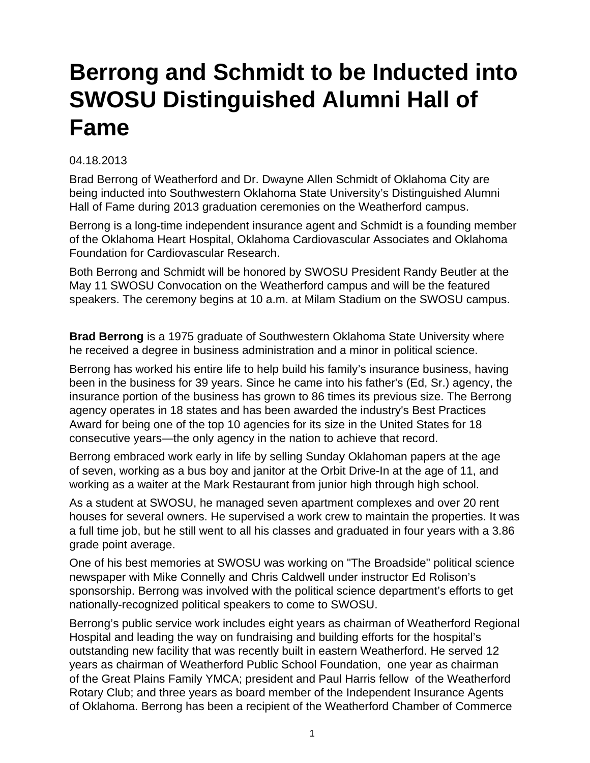## **Berrong and Schmidt to be Inducted into SWOSU Distinguished Alumni Hall of Fame**

## 04.18.2013

Brad Berrong of Weatherford and Dr. Dwayne Allen Schmidt of Oklahoma City are being inducted into Southwestern Oklahoma State University's Distinguished Alumni Hall of Fame during 2013 graduation ceremonies on the Weatherford campus.

Berrong is a long-time independent insurance agent and Schmidt is a founding member of the Oklahoma Heart Hospital, Oklahoma Cardiovascular Associates and Oklahoma Foundation for Cardiovascular Research.

Both Berrong and Schmidt will be honored by SWOSU President Randy Beutler at the May 11 SWOSU Convocation on the Weatherford campus and will be the featured speakers. The ceremony begins at 10 a.m. at Milam Stadium on the SWOSU campus.

**Brad Berrong** is a 1975 graduate of Southwestern Oklahoma State University where he received a degree in business administration and a minor in political science.

Berrong has worked his entire life to help build his family's insurance business, having been in the business for 39 years. Since he came into his father's (Ed, Sr.) agency, the insurance portion of the business has grown to 86 times its previous size. The Berrong agency operates in 18 states and has been awarded the industry's Best Practices Award for being one of the top 10 agencies for its size in the United States for 18 consecutive years—the only agency in the nation to achieve that record.

Berrong embraced work early in life by selling Sunday Oklahoman papers at the age of seven, working as a bus boy and janitor at the Orbit Drive-In at the age of 11, and working as a waiter at the Mark Restaurant from junior high through high school.

As a student at SWOSU, he managed seven apartment complexes and over 20 rent houses for several owners. He supervised a work crew to maintain the properties. It was a full time job, but he still went to all his classes and graduated in four years with a 3.86 grade point average.

One of his best memories at SWOSU was working on "The Broadside" political science newspaper with Mike Connelly and Chris Caldwell under instructor Ed Rolison's sponsorship. Berrong was involved with the political science department's efforts to get nationally-recognized political speakers to come to SWOSU.

Berrong's public service work includes eight years as chairman of Weatherford Regional Hospital and leading the way on fundraising and building efforts for the hospital's outstanding new facility that was recently built in eastern Weatherford. He served 12 years as chairman of Weatherford Public School Foundation, one year as chairman of the Great Plains Family YMCA; president and Paul Harris fellow of the Weatherford Rotary Club; and three years as board member of the Independent Insurance Agents of Oklahoma. Berrong has been a recipient of the Weatherford Chamber of Commerce